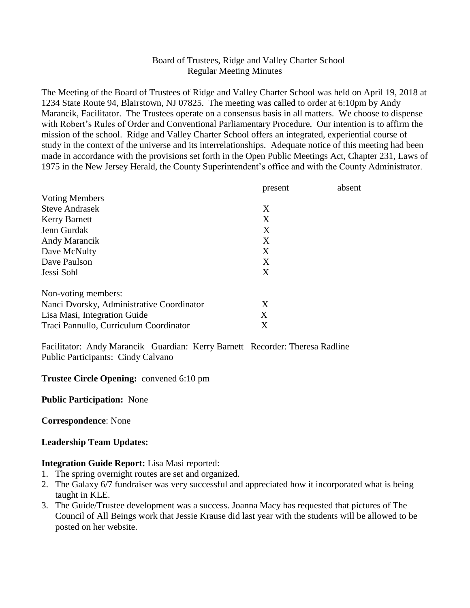## Board of Trustees, Ridge and Valley Charter School Regular Meeting Minutes

The Meeting of the Board of Trustees of Ridge and Valley Charter School was held on April 19, 2018 at 1234 State Route 94, Blairstown, NJ 07825. The meeting was called to order at 6:10pm by Andy Marancik, Facilitator. The Trustees operate on a consensus basis in all matters. We choose to dispense with Robert's Rules of Order and Conventional Parliamentary Procedure. Our intention is to affirm the mission of the school. Ridge and Valley Charter School offers an integrated, experiential course of study in the context of the universe and its interrelationships. Adequate notice of this meeting had been made in accordance with the provisions set forth in the Open Public Meetings Act, Chapter 231, Laws of 1975 in the New Jersey Herald, the County Superintendent's office and with the County Administrator.

|                                           | present | absent |
|-------------------------------------------|---------|--------|
| <b>Voting Members</b>                     |         |        |
| <b>Steve Andrasek</b>                     | X       |        |
| <b>Kerry Barnett</b>                      | X       |        |
| Jenn Gurdak                               | X       |        |
| Andy Marancik                             | X       |        |
| Dave McNulty                              | X       |        |
| Dave Paulson                              | X       |        |
| Jessi Sohl                                | X       |        |
| Non-voting members:                       |         |        |
| Nanci Dvorsky, Administrative Coordinator | X       |        |
| Lisa Masi, Integration Guide              | X       |        |
| Traci Pannullo, Curriculum Coordinator    | Χ       |        |

Facilitator: Andy Marancik Guardian: Kerry Barnett Recorder: Theresa Radline Public Participants: Cindy Calvano

#### **Trustee Circle Opening:** convened 6:10 pm

#### **Public Participation:** None

**Correspondence**: None

#### **Leadership Team Updates:**

#### **Integration Guide Report:** Lisa Masi reported:

- 1. The spring overnight routes are set and organized.
- 2. The Galaxy 6/7 fundraiser was very successful and appreciated how it incorporated what is being taught in KLE.
- 3. The Guide/Trustee development was a success. Joanna Macy has requested that pictures of The Council of All Beings work that Jessie Krause did last year with the students will be allowed to be posted on her website.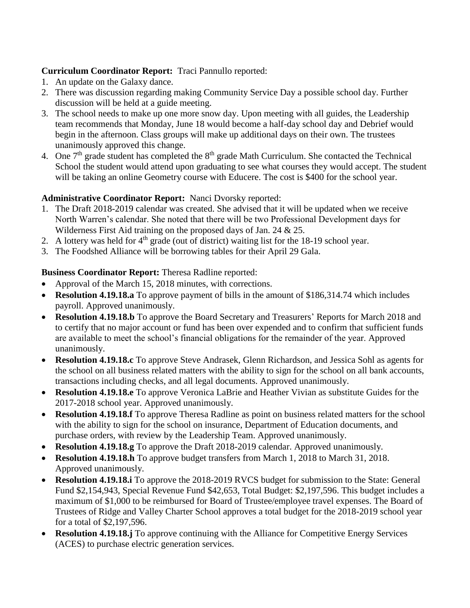# **Curriculum Coordinator Report:** Traci Pannullo reported:

- 1. An update on the Galaxy dance.
- 2. There was discussion regarding making Community Service Day a possible school day. Further discussion will be held at a guide meeting.
- 3. The school needs to make up one more snow day. Upon meeting with all guides, the Leadership team recommends that Monday, June 18 would become a half-day school day and Debrief would begin in the afternoon. Class groups will make up additional days on their own. The trustees unanimously approved this change.
- 4. One  $7<sup>th</sup>$  grade student has completed the  $8<sup>th</sup>$  grade Math Curriculum. She contacted the Technical School the student would attend upon graduating to see what courses they would accept. The student will be taking an online Geometry course with Educere. The cost is \$400 for the school year.

# **Administrative Coordinator Report:** Nanci Dvorsky reported:

- 1. The Draft 2018-2019 calendar was created. She advised that it will be updated when we receive North Warren's calendar. She noted that there will be two Professional Development days for Wilderness First Aid training on the proposed days of Jan. 24 & 25.
- 2. A lottery was held for  $4<sup>th</sup>$  grade (out of district) waiting list for the 18-19 school year.
- 3. The Foodshed Alliance will be borrowing tables for their April 29 Gala.

## **Business Coordinator Report:** Theresa Radline reported:

- Approval of the March 15, 2018 minutes, with corrections.
- **Resolution 4.19.18.a** To approve payment of bills in the amount of \$186,314.74 which includes payroll. Approved unanimously.
- **Resolution 4.19.18.b** To approve the Board Secretary and Treasurers' Reports for March 2018 and to certify that no major account or fund has been over expended and to confirm that sufficient funds are available to meet the school's financial obligations for the remainder of the year. Approved unanimously.
- **Resolution 4.19.18.c** To approve Steve Andrasek, Glenn Richardson, and Jessica Sohl as agents for the school on all business related matters with the ability to sign for the school on all bank accounts, transactions including checks, and all legal documents. Approved unanimously.
- **Resolution 4.19.18.e** To approve Veronica LaBrie and Heather Vivian as substitute Guides for the 2017-2018 school year. Approved unanimously.
- **Resolution 4.19.18.f** To approve Theresa Radline as point on business related matters for the school with the ability to sign for the school on insurance, Department of Education documents, and purchase orders, with review by the Leadership Team. Approved unanimously.
- **Resolution 4.19.18.g** To approve the Draft 2018-2019 calendar. Approved unanimously.
- **Resolution 4.19.18.h** To approve budget transfers from March 1, 2018 to March 31, 2018. Approved unanimously.
- **Resolution 4.19.18.i** To approve the 2018-2019 RVCS budget for submission to the State: General Fund \$2,154,943, Special Revenue Fund \$42,653, Total Budget: \$2,197,596. This budget includes a maximum of \$1,000 to be reimbursed for Board of Trustee/employee travel expenses. The Board of Trustees of Ridge and Valley Charter School approves a total budget for the 2018-2019 school year for a total of \$2,197,596.
- **Resolution 4.19.18.j** To approve continuing with the Alliance for Competitive Energy Services (ACES) to purchase electric generation services.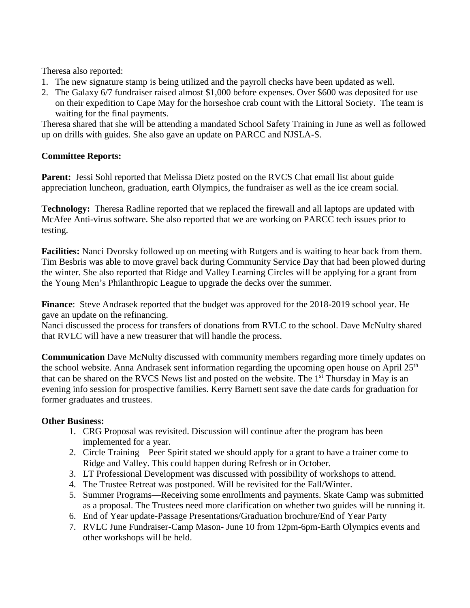Theresa also reported:

- 1. The new signature stamp is being utilized and the payroll checks have been updated as well.
- 2. The Galaxy 6/7 fundraiser raised almost \$1,000 before expenses. Over \$600 was deposited for use on their expedition to Cape May for the horseshoe crab count with the Littoral Society. The team is waiting for the final payments.

Theresa shared that she will be attending a mandated School Safety Training in June as well as followed up on drills with guides. She also gave an update on PARCC and NJSLA-S.

## **Committee Reports:**

Parent: Jessi Sohl reported that Melissa Dietz posted on the RVCS Chat email list about guide appreciation luncheon, graduation, earth Olympics, the fundraiser as well as the ice cream social.

**Technology:** Theresa Radline reported that we replaced the firewall and all laptops are updated with McAfee Anti-virus software. She also reported that we are working on PARCC tech issues prior to testing.

**Facilities:** Nanci Dvorsky followed up on meeting with Rutgers and is waiting to hear back from them. Tim Besbris was able to move gravel back during Community Service Day that had been plowed during the winter. She also reported that Ridge and Valley Learning Circles will be applying for a grant from the Young Men's Philanthropic League to upgrade the decks over the summer.

**Finance**: Steve Andrasek reported that the budget was approved for the 2018-2019 school year. He gave an update on the refinancing.

Nanci discussed the process for transfers of donations from RVLC to the school. Dave McNulty shared that RVLC will have a new treasurer that will handle the process.

**Communication** Dave McNulty discussed with community members regarding more timely updates on the school website. Anna Andrasek sent information regarding the upcoming open house on April 25<sup>th</sup> that can be shared on the RVCS News list and posted on the website. The 1<sup>st</sup> Thursday in May is an evening info session for prospective families. Kerry Barnett sent save the date cards for graduation for former graduates and trustees.

## **Other Business:**

- 1. CRG Proposal was revisited. Discussion will continue after the program has been implemented for a year.
- 2. Circle Training—Peer Spirit stated we should apply for a grant to have a trainer come to Ridge and Valley. This could happen during Refresh or in October.
- 3. LT Professional Development was discussed with possibility of workshops to attend.
- 4. The Trustee Retreat was postponed. Will be revisited for the Fall/Winter.
- 5. Summer Programs—Receiving some enrollments and payments. Skate Camp was submitted as a proposal. The Trustees need more clarification on whether two guides will be running it.
- 6. End of Year update-Passage Presentations/Graduation brochure/End of Year Party
- 7. RVLC June Fundraiser-Camp Mason- June 10 from 12pm-6pm-Earth Olympics events and other workshops will be held.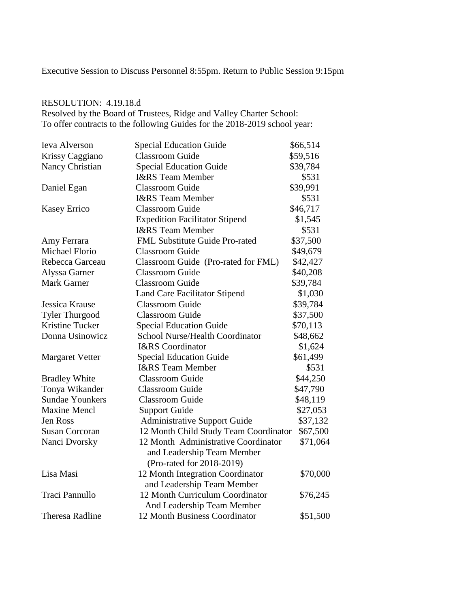Executive Session to Discuss Personnel 8:55pm. Return to Public Session 9:15pm

# RESOLUTION: 4.19.18.d

Resolved by the Board of Trustees, Ridge and Valley Charter School: To offer contracts to the following Guides for the 2018-2019 school year:

| Ieva Alverson          | <b>Special Education Guide</b>                   | \$66,514 |
|------------------------|--------------------------------------------------|----------|
| Krissy Caggiano        | <b>Classroom Guide</b>                           | \$59,516 |
| Nancy Christian        | <b>Special Education Guide</b>                   | \$39,784 |
|                        | <b>I&amp;RS</b> Team Member                      | \$531    |
| Daniel Egan            | <b>Classroom Guide</b>                           | \$39,991 |
|                        | I&RS Team Member                                 | \$531    |
| <b>Kasey Errico</b>    | <b>Classroom Guide</b>                           | \$46,717 |
|                        | <b>Expedition Facilitator Stipend</b>            | \$1,545  |
|                        | <b>I&amp;RS</b> Team Member                      | \$531    |
| Amy Ferrara            | FML Substitute Guide Pro-rated                   | \$37,500 |
| Michael Florio         | <b>Classroom Guide</b>                           | \$49,679 |
| Rebecca Garceau        | Classroom Guide (Pro-rated for FML)              | \$42,427 |
| Alyssa Garner          | <b>Classroom Guide</b>                           | \$40,208 |
| <b>Mark Garner</b>     | <b>Classroom Guide</b>                           | \$39,784 |
|                        | Land Care Facilitator Stipend                    | \$1,030  |
| Jessica Krause         | <b>Classroom</b> Guide                           | \$39,784 |
| <b>Tyler Thurgood</b>  | <b>Classroom Guide</b>                           | \$37,500 |
| Kristine Tucker        | <b>Special Education Guide</b>                   | \$70,113 |
| Donna Usinowicz        | <b>School Nurse/Health Coordinator</b>           | \$48,662 |
|                        | <b>I&amp;RS</b> Coordinator                      | \$1,624  |
| <b>Margaret Vetter</b> | <b>Special Education Guide</b>                   | \$61,499 |
|                        | <b>I&amp;RS</b> Team Member                      | \$531    |
| <b>Bradley White</b>   | <b>Classroom Guide</b>                           | \$44,250 |
| Tonya Wikander         | <b>Classroom Guide</b>                           | \$47,790 |
| <b>Sundae Younkers</b> | <b>Classroom Guide</b>                           | \$48,119 |
| <b>Maxine Mencl</b>    | <b>Support Guide</b>                             | \$27,053 |
| <b>Jen Ross</b>        | <b>Administrative Support Guide</b>              | \$37,132 |
| <b>Susan Corcoran</b>  | 12 Month Child Study Team Coordinator            | \$67,500 |
| Nanci Dvorsky          | 12 Month Administrative Coordinator<br>\$71,064  |          |
|                        | and Leadership Team Member                       |          |
|                        | (Pro-rated for 2018-2019)                        |          |
| Lisa Masi              | 12 Month Integration Coordinator                 | \$70,000 |
|                        | and Leadership Team Member                       |          |
| Traci Pannullo         | 12 Month Curriculum Coordinator                  | \$76,245 |
|                        | And Leadership Team Member                       |          |
| <b>Theresa Radline</b> | <b>12 Month Business Coordinator</b><br>\$51,500 |          |